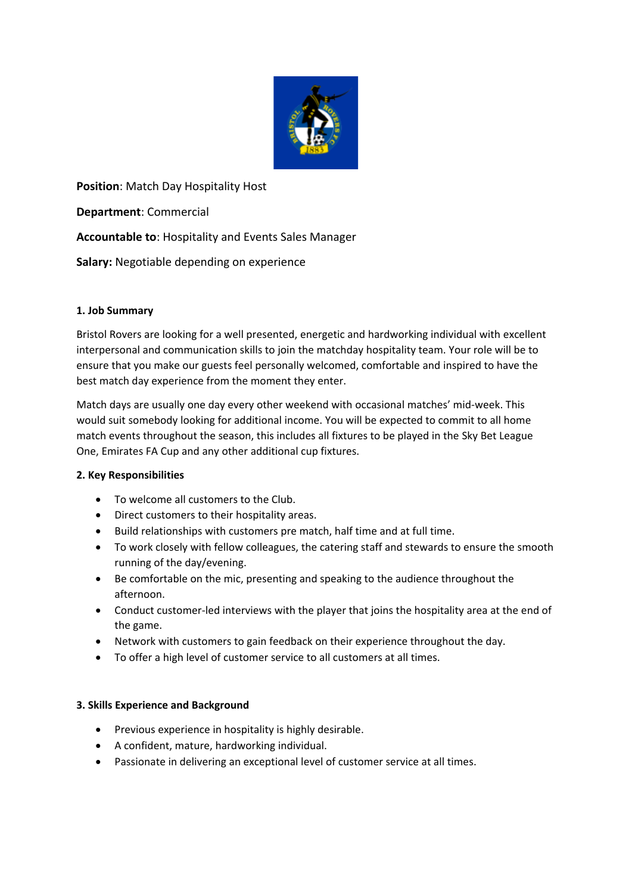

**Position**: Match Day Hospitality Host

**Department**: Commercial

**Accountable to**: Hospitality and Events Sales Manager

**Salary:** Negotiable depending on experience

# **1. Job Summary**

Bristol Rovers are looking for a well presented, energetic and hardworking individual with excellent interpersonal and communication skills to join the matchday hospitality team. Your role will be to ensure that you make our guests feel personally welcomed, comfortable and inspired to have the best match day experience from the moment they enter.

Match days are usually one day every other weekend with occasional matches' mid-week. This would suit somebody looking for additional income. You will be expected to commit to all home match events throughout the season, this includes all fixtures to be played in the Sky Bet League One, Emirates FA Cup and any other additional cup fixtures.

# **2. Key Responsibilities**

- To welcome all customers to the Club.
- Direct customers to their hospitality areas.
- Build relationships with customers pre match, half time and at full time.
- To work closely with fellow colleagues, the catering staff and stewards to ensure the smooth running of the day/evening.
- Be comfortable on the mic, presenting and speaking to the audience throughout the afternoon.
- Conduct customer-led interviews with the player that joins the hospitality area at the end of the game.
- Network with customers to gain feedback on their experience throughout the day.
- To offer a high level of customer service to all customers at all times.

# **3. Skills Experience and Background**

- Previous experience in hospitality is highly desirable.
- A confident, mature, hardworking individual.
- Passionate in delivering an exceptional level of customer service at all times.